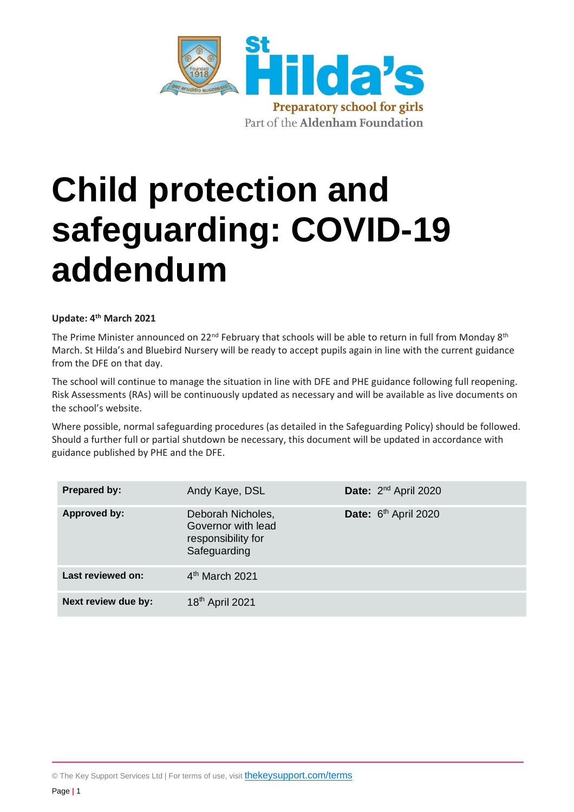

# **Child protection and safeguarding: COVID-19 addendum**

#### **Update: 4th March 2021**

The Prime Minister announced on 22<sup>nd</sup> February that schools will be able to return in full from Monday 8<sup>th</sup> March. St Hilda's and Bluebird Nursery will be ready to accept pupils again in line with the current guidance from the DFE on that day.

The school will continue to manage the situation in line with DFE and PHE guidance following full reopening. Risk Assessments (RAs) will be continuously updated as necessary and will be available as live documents on the school's website.

Where possible, normal safeguarding procedures (as detailed in the Safeguarding Policy) should be followed. Should a further full or partial shutdown be necessary, this document will be updated in accordance with guidance published by PHE and the DFE.

| <b>Prepared by:</b> | Andy Kaye, DSL                                                                | Date: 2 <sup>nd</sup> April 2020 |
|---------------------|-------------------------------------------------------------------------------|----------------------------------|
| <b>Approved by:</b> | Deborah Nicholes,<br>Governor with lead<br>responsibility for<br>Safeguarding | Date: 6 <sup>th</sup> April 2020 |
| Last reviewed on:   | $4th$ March 2021                                                              |                                  |
| Next review due by: | 18 <sup>th</sup> April 2021                                                   |                                  |

© The Key Support Services Ltd | For terms of use, visit [thekeysupport.com/terms](https://thekeysupport.com/terms-of-use)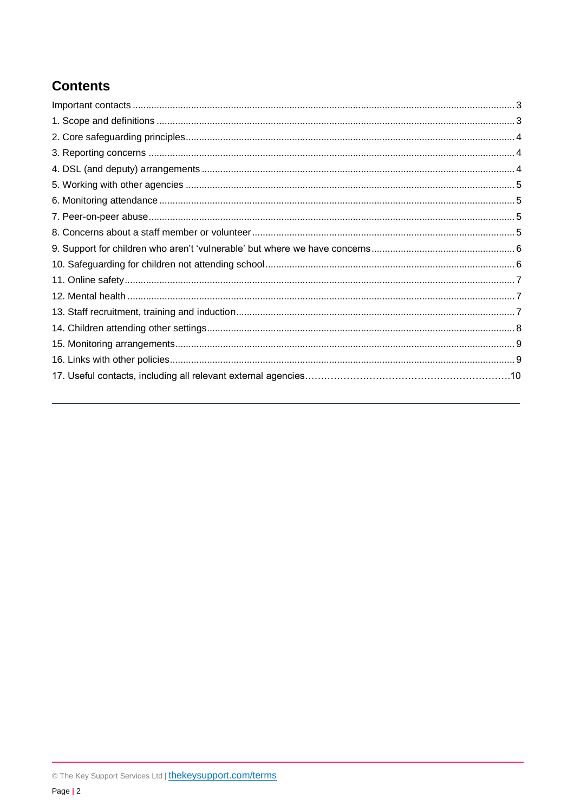# **Contents**

<span id="page-1-0"></span>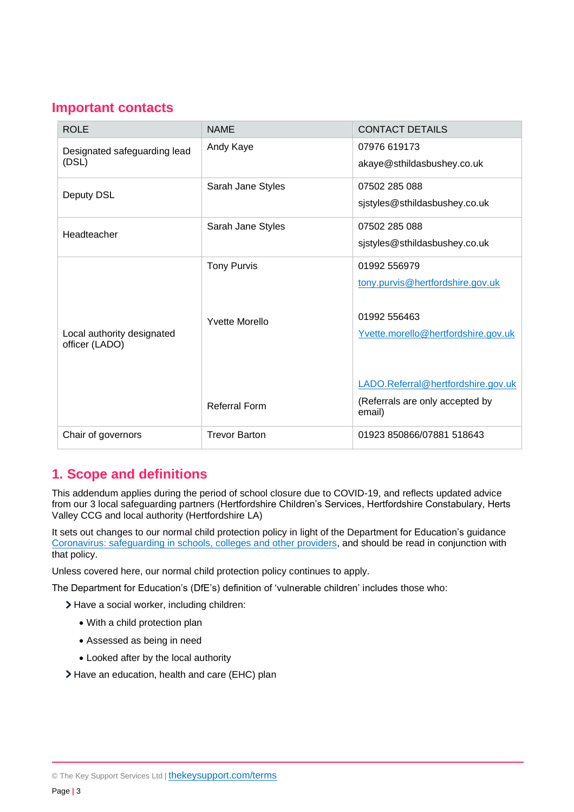## **Important contacts**

| <b>ROLE</b>                                  | <b>NAME</b>                                                         | <b>CONTACT DETAILS</b>                                                                                                                                                                     |
|----------------------------------------------|---------------------------------------------------------------------|--------------------------------------------------------------------------------------------------------------------------------------------------------------------------------------------|
| Designated safeguarding lead<br>(DSL)        | Andy Kaye                                                           | 07976 619173<br>akaye@sthildasbushey.co.uk                                                                                                                                                 |
| Deputy DSL                                   | Sarah Jane Styles                                                   | 07502 285 088<br>sjstyles@sthildasbushey.co.uk                                                                                                                                             |
| Headteacher                                  | Sarah Jane Styles                                                   | 07502 285 088<br>sjstyles@sthildasbushey.co.uk                                                                                                                                             |
| Local authority designated<br>officer (LADO) | <b>Tony Purvis</b><br><b>Yvette Morello</b><br><b>Referral Form</b> | 01992 556979<br>tony.purvis@hertfordshire.gov.uk<br>01992 556463<br>Yvette.morello@hertfordshire.gov.uk<br>LADO.Referral@hertfordshire.gov.uk<br>(Referrals are only accepted by<br>email) |
| Chair of governors                           | <b>Trevor Barton</b>                                                | 01923 850866/07881 518643                                                                                                                                                                  |

# <span id="page-2-0"></span>**1. Scope and definitions**

This addendum applies during the period of school closure due to COVID-19, and reflects updated advice from our 3 local safeguarding partners (Hertfordshire Children's Services, Hertfordshire Constabulary, Herts Valley CCG and local authority (Hertfordshire LA)

It sets out changes to our normal child protection policy in light of the Department for Education's guidance [Coronavirus: safeguarding in schools, colleges and other providers,](https://www.gov.uk/government/publications/covid-19-safeguarding-in-schools-colleges-and-other-providers) and should be read in conjunction with that policy.

Unless covered here, our normal child protection policy continues to apply.

The Department for Education's (DfE's) definition of 'vulnerable children' includes those who:

> Have a social worker, including children:

- With a child protection plan
- Assessed as being in need
- Looked after by the local authority
- <span id="page-2-1"></span>> Have an education, health and care (EHC) plan

© The Key Support Services Ltd | [thekeysupport.com/terms](https://thekeysupport.com/terms-of-use)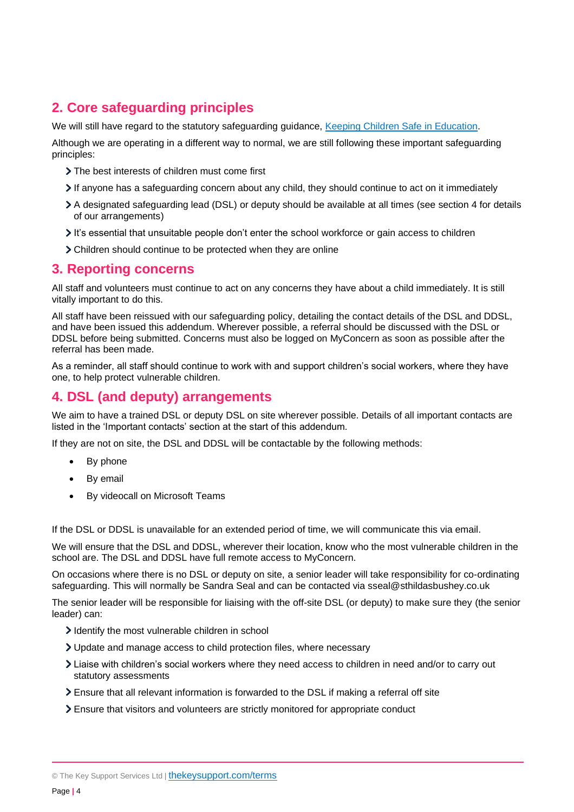# **2. Core safeguarding principles**

We will still have regard to the statutory safeguarding guidance, [Keeping Children Safe in Education.](https://www.gov.uk/government/publications/keeping-children-safe-in-education--2)

Although we are operating in a different way to normal, we are still following these important safeguarding principles:

- The best interests of children must come first
- If anyone has a safeguarding concern about any child, they should continue to act on it immediately
- A designated safeguarding lead (DSL) or deputy should be available at all times (see section 4 for details of our arrangements)
- It's essential that unsuitable people don't enter the school workforce or gain access to children
- Children should continue to be protected when they are online

#### <span id="page-3-0"></span>**3. Reporting concerns**

All staff and volunteers must continue to act on any concerns they have about a child immediately. It is still vitally important to do this.

All staff have been reissued with our safeguarding policy, detailing the contact details of the DSL and DDSL, and have been issued this addendum. Wherever possible, a referral should be discussed with the DSL or DDSL before being submitted. Concerns must also be logged on MyConcern as soon as possible after the referral has been made.

As a reminder, all staff should continue to work with and support children's social workers, where they have one, to help protect vulnerable children.

## <span id="page-3-1"></span>**4. DSL (and deputy) arrangements**

We aim to have a trained DSL or deputy DSL on site wherever possible. Details of all important contacts are listed in the 'Important contacts' section at the start of this addendum.

If they are not on site, the DSL and DDSL will be contactable by the following methods:

- By phone
- By email
- By videocall on Microsoft Teams

If the DSL or DDSL is unavailable for an extended period of time, we will communicate this via email.

We will ensure that the DSL and DDSL, wherever their location, know who the most vulnerable children in the school are. The DSL and DDSL have full remote access to MyConcern.

On occasions where there is no DSL or deputy on site, a senior leader will take responsibility for co-ordinating safeguarding. This will normally be Sandra Seal and can be contacted via sseal@sthildasbushey.co.uk

The senior leader will be responsible for liaising with the off-site DSL (or deputy) to make sure they (the senior leader) can:

- I dentify the most vulnerable children in school
- Update and manage access to child protection files, where necessary
- Liaise with children's social workers where they need access to children in need and/or to carry out statutory assessments
- Ensure that all relevant information is forwarded to the DSL if making a referral off site
- Ensure that visitors and volunteers are strictly monitored for appropriate conduct

<sup>©</sup> The Key Support Services Ltd | [thekeysupport.com/terms](https://thekeysupport.com/terms-of-use)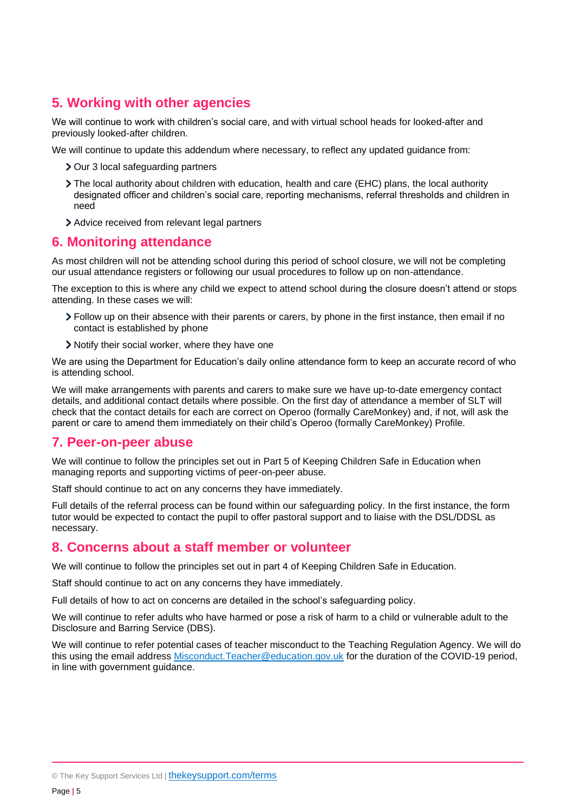## <span id="page-4-0"></span>**5. Working with other agencies**

We will continue to work with children's social care, and with virtual school heads for looked-after and previously looked-after children.

We will continue to update this addendum where necessary, to reflect any updated guidance from:

- > Our 3 local safeguarding partners
- The local authority about children with education, health and care (EHC) plans, the local authority designated officer and children's social care, reporting mechanisms, referral thresholds and children in need
- Advice received from relevant legal partners

#### <span id="page-4-1"></span>**6. Monitoring attendance**

As most children will not be attending school during this period of school closure, we will not be completing our usual attendance registers or following our usual procedures to follow up on non-attendance.

The exception to this is where any child we expect to attend school during the closure doesn't attend or stops attending. In these cases we will:

- Follow up on their absence with their parents or carers, by phone in the first instance, then email if no contact is established by phone
- > Notify their social worker, where they have one

We are using the Department for Education's daily online attendance form to keep an accurate record of who is attending school.

We will make arrangements with parents and carers to make sure we have up-to-date emergency contact details, and additional contact details where possible. On the first day of attendance a member of SLT will check that the contact details for each are correct on Operoo (formally CareMonkey) and, if not, will ask the parent or care to amend them immediately on their child's Operoo (formally CareMonkey) Profile.

#### <span id="page-4-2"></span>**7. Peer-on-peer abuse**

We will continue to follow the principles set out in Part 5 of Keeping Children Safe in Education when managing reports and supporting victims of peer-on-peer abuse.

Staff should continue to act on any concerns they have immediately.

Full details of the referral process can be found within our safeguarding policy. In the first instance, the form tutor would be expected to contact the pupil to offer pastoral support and to liaise with the DSL/DDSL as necessary.

### <span id="page-4-3"></span>**8. Concerns about a staff member or volunteer**

We will continue to follow the principles set out in part 4 of Keeping Children Safe in Education.

Staff should continue to act on any concerns they have immediately.

Full details of how to act on concerns are detailed in the school's safeguarding policy.

We will continue to refer adults who have harmed or pose a risk of harm to a child or vulnerable adult to the Disclosure and Barring Service (DBS).

<span id="page-4-4"></span>We will continue to refer potential cases of teacher misconduct to the Teaching Regulation Agency. We will do this using the email address [Misconduct.Teacher@education.gov.uk](mailto:Misconduct.Teacher@education.gov.uk) for the duration of the COVID-19 period, in line with government guidance.

<sup>©</sup> The Key Support Services Ltd | [thekeysupport.com/terms](https://thekeysupport.com/terms-of-use)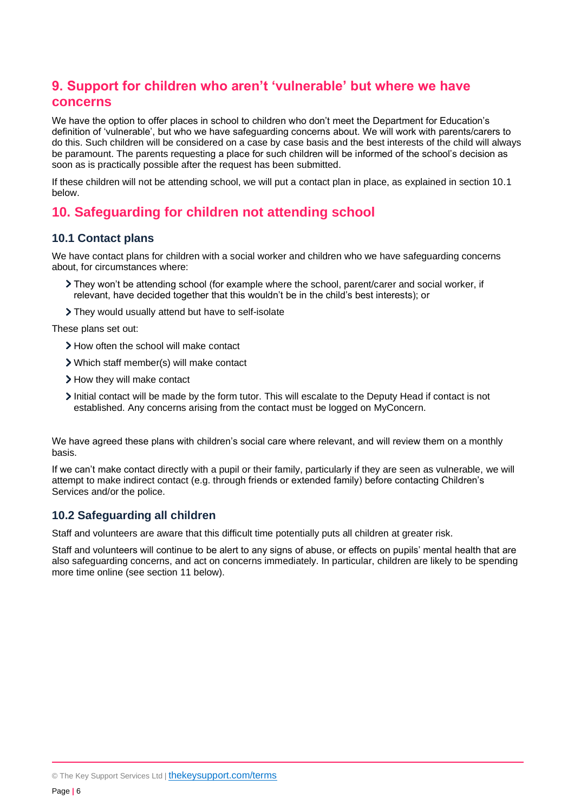# **9. Support for children who aren't 'vulnerable' but where we have concerns**

We have the option to offer places in school to children who don't meet the Department for Education's definition of 'vulnerable', but who we have safeguarding concerns about. We will work with parents/carers to do this. Such children will be considered on a case by case basis and the best interests of the child will always be paramount. The parents requesting a place for such children will be informed of the school's decision as soon as is practically possible after the request has been submitted.

If these children will not be attending school, we will put a contact plan in place, as explained in section 10.1 below.

## <span id="page-5-0"></span>**10. Safeguarding for children not attending school**

#### **10.1 Contact plans**

We have contact plans for children with a social worker and children who we have safeguarding concerns about, for circumstances where:

- They won't be attending school (for example where the school, parent/carer and social worker, if relevant, have decided together that this wouldn't be in the child's best interests); or
- They would usually attend but have to self-isolate

These plans set out:

- > How often the school will make contact
- Which staff member(s) will make contact
- > How they will make contact
- Initial contact will be made by the form tutor. This will escalate to the Deputy Head if contact is not established. Any concerns arising from the contact must be logged on MyConcern.

We have agreed these plans with children's social care where relevant, and will review them on a monthly basis.

If we can't make contact directly with a pupil or their family, particularly if they are seen as vulnerable, we will attempt to make indirect contact (e.g. through friends or extended family) before contacting Children's Services and/or the police.

#### **10.2 Safeguarding all children**

Staff and volunteers are aware that this difficult time potentially puts all children at greater risk.

<span id="page-5-1"></span>Staff and volunteers will continue to be alert to any signs of abuse, or effects on pupils' mental health that are also safeguarding concerns, and act on concerns immediately. In particular, children are likely to be spending more time online (see section 11 below).

© The Key Support Services Ltd | [thekeysupport.com/terms](https://thekeysupport.com/terms-of-use)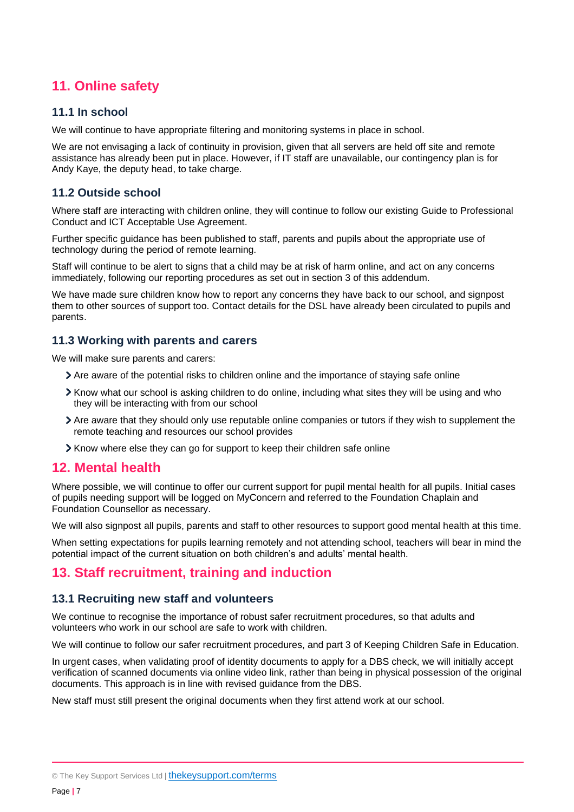# **11. Online safety**

#### **11.1 In school**

We will continue to have appropriate filtering and monitoring systems in place in school.

We are not envisaging a lack of continuity in provision, given that all servers are held off site and remote assistance has already been put in place. However, if IT staff are unavailable, our contingency plan is for Andy Kaye, the deputy head, to take charge.

#### **11.2 Outside school**

Where staff are interacting with children online, they will continue to follow our existing Guide to Professional Conduct and ICT Acceptable Use Agreement.

Further specific guidance has been published to staff, parents and pupils about the appropriate use of technology during the period of remote learning.

Staff will continue to be alert to signs that a child may be at risk of harm online, and act on any concerns immediately, following our reporting procedures as set out in section 3 of this addendum.

We have made sure children know how to report any concerns they have back to our school, and signpost them to other sources of support too. Contact details for the DSL have already been circulated to pupils and parents.

#### **11.3 Working with parents and carers**

We will make sure parents and carers:

- Are aware of the potential risks to children online and the importance of staying safe online
- Know what our school is asking children to do online, including what sites they will be using and who they will be interacting with from our school
- Are aware that they should only use reputable online companies or tutors if they wish to supplement the remote teaching and resources our school provides
- Know where else they can go for support to keep their children safe online

#### <span id="page-6-0"></span>**12. Mental health**

Where possible, we will continue to offer our current support for pupil mental health for all pupils. Initial cases of pupils needing support will be logged on MyConcern and referred to the Foundation Chaplain and Foundation Counsellor as necessary.

We will also signpost all pupils, parents and staff to other resources to support good mental health at this time.

When setting expectations for pupils learning remotely and not attending school, teachers will bear in mind the potential impact of the current situation on both children's and adults' mental health.

#### <span id="page-6-1"></span>**13. Staff recruitment, training and induction**

#### **13.1 Recruiting new staff and volunteers**

We continue to recognise the importance of robust safer recruitment procedures, so that adults and volunteers who work in our school are safe to work with children.

We will continue to follow our safer recruitment procedures, and part 3 of Keeping Children Safe in Education.

In urgent cases, when validating proof of identity documents to apply for a DBS check, we will initially accept verification of scanned documents via online video link, rather than being in physical possession of the original documents. This approach is in line with revised guidance from the DBS.

New staff must still present the original documents when they first attend work at our school.

<sup>©</sup> The Key Support Services Ltd | [thekeysupport.com/terms](https://thekeysupport.com/terms-of-use)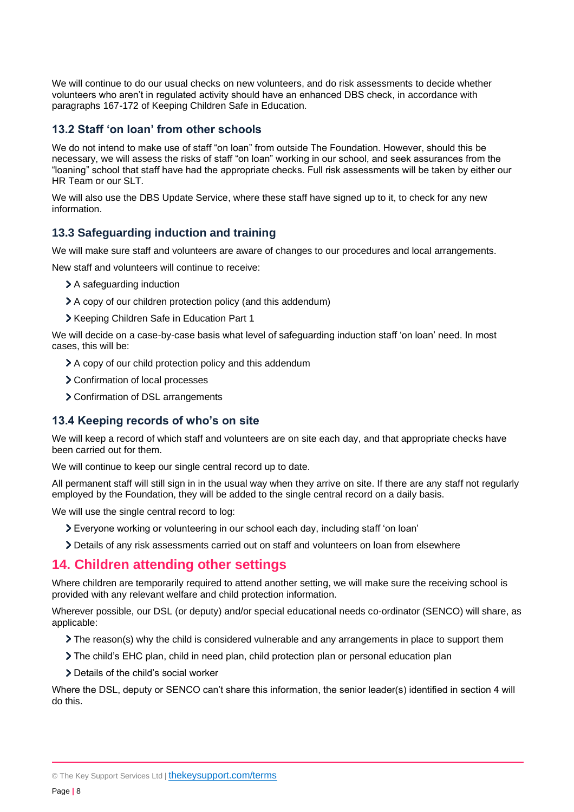We will continue to do our usual checks on new volunteers, and do risk assessments to decide whether volunteers who aren't in regulated activity should have an enhanced DBS check, in accordance with paragraphs 167-172 of Keeping Children Safe in Education.

#### **13.2 Staff 'on loan' from other schools**

We do not intend to make use of staff "on loan" from outside The Foundation. However, should this be necessary, we will assess the risks of staff "on loan" working in our school, and seek assurances from the "loaning" school that staff have had the appropriate checks. Full risk assessments will be taken by either our HR Team or our SLT.

We will also use the DBS Update Service, where these staff have signed up to it, to check for any new information.

#### **13.3 Safeguarding induction and training**

We will make sure staff and volunteers are aware of changes to our procedures and local arrangements.

New staff and volunteers will continue to receive:

- > A safeguarding induction
- A copy of our children protection policy (and this addendum)
- > Keeping Children Safe in Education Part 1

We will decide on a case-by-case basis what level of safeguarding induction staff 'on loan' need. In most cases, this will be:

- A copy of our child protection policy and this addendum
- > Confirmation of local processes
- > Confirmation of DSL arrangements

#### **13.4 Keeping records of who's on site**

We will keep a record of which staff and volunteers are on site each day, and that appropriate checks have been carried out for them.

We will continue to keep our single central record up to date.

All permanent staff will still sign in in the usual way when they arrive on site. If there are any staff not regularly employed by the Foundation, they will be added to the single central record on a daily basis.

We will use the single central record to log:

- Everyone working or volunteering in our school each day, including staff 'on loan'
- Details of any risk assessments carried out on staff and volunteers on loan from elsewhere

#### <span id="page-7-0"></span>**14. Children attending other settings**

Where children are temporarily required to attend another setting, we will make sure the receiving school is provided with any relevant welfare and child protection information.

Wherever possible, our DSL (or deputy) and/or special educational needs co-ordinator (SENCO) will share, as applicable:

- $\sum$  The reason(s) why the child is considered vulnerable and any arrangements in place to support them
- The child's EHC plan, child in need plan, child protection plan or personal education plan
- > Details of the child's social worker

Where the DSL, deputy or SENCO can't share this information, the senior leader(s) identified in section 4 will do this.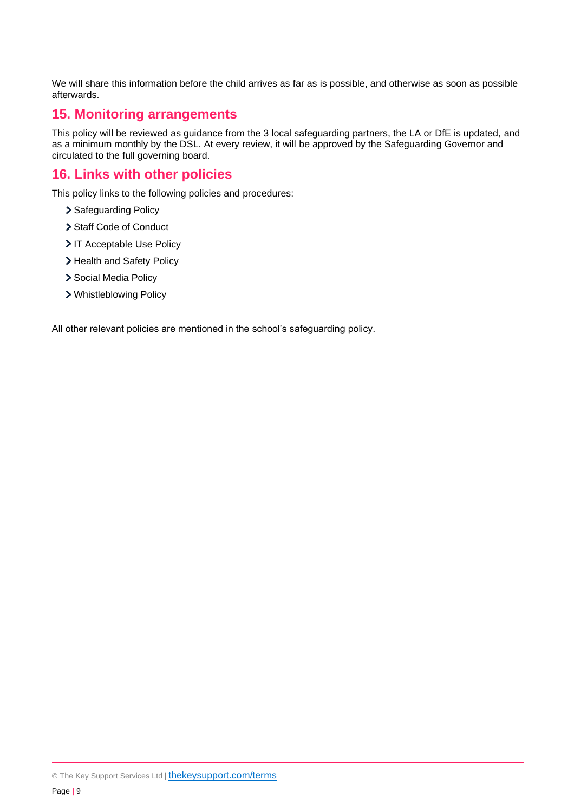We will share this information before the child arrives as far as is possible, and otherwise as soon as possible afterwards.

## <span id="page-8-0"></span>**15. Monitoring arrangements**

This policy will be reviewed as guidance from the 3 local safeguarding partners, the LA or DfE is updated, and as a minimum monthly by the DSL. At every review, it will be approved by the Safeguarding Governor and circulated to the full governing board.

## <span id="page-8-1"></span>**16. Links with other policies**

This policy links to the following policies and procedures:

- > Safeguarding Policy
- > Staff Code of Conduct
- > IT Acceptable Use Policy
- > Health and Safety Policy
- > Social Media Policy
- Whistleblowing Policy

All other relevant policies are mentioned in the school's safeguarding policy.

<sup>©</sup> The Key Support Services Ltd | [thekeysupport.com/terms](https://thekeysupport.com/terms-of-use)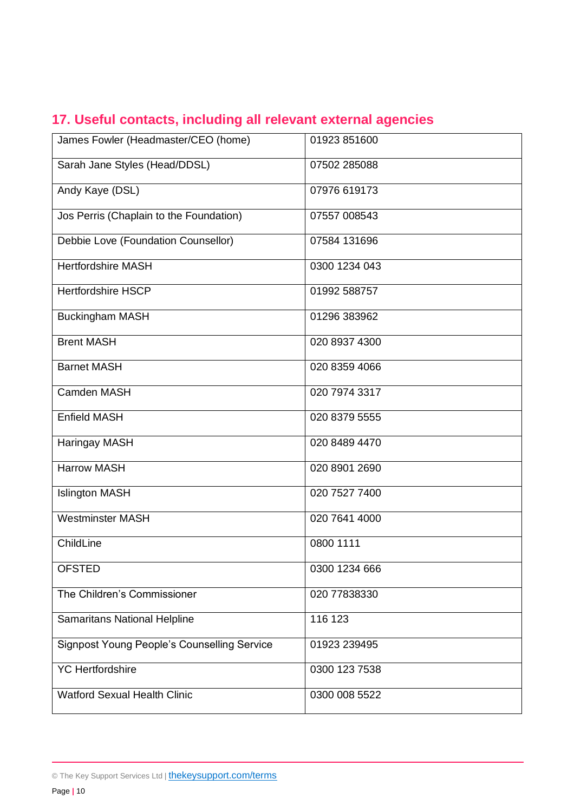|  |  |  | 17. Useful contacts, including all relevant external agencies |  |  |  |  |  |
|--|--|--|---------------------------------------------------------------|--|--|--|--|--|
|--|--|--|---------------------------------------------------------------|--|--|--|--|--|

| James Fowler (Headmaster/CEO (home)                | 01923 851600  |
|----------------------------------------------------|---------------|
| Sarah Jane Styles (Head/DDSL)                      | 07502 285088  |
| Andy Kaye (DSL)                                    | 07976 619173  |
| Jos Perris (Chaplain to the Foundation)            | 07557 008543  |
| Debbie Love (Foundation Counsellor)                | 07584 131696  |
| <b>Hertfordshire MASH</b>                          | 0300 1234 043 |
| <b>Hertfordshire HSCP</b>                          | 01992 588757  |
| <b>Buckingham MASH</b>                             | 01296 383962  |
| <b>Brent MASH</b>                                  | 020 8937 4300 |
| <b>Barnet MASH</b>                                 | 020 8359 4066 |
| Camden MASH                                        | 020 7974 3317 |
| <b>Enfield MASH</b>                                | 020 8379 5555 |
| Haringay MASH                                      | 020 8489 4470 |
| <b>Harrow MASH</b>                                 | 020 8901 2690 |
| <b>Islington MASH</b>                              | 020 7527 7400 |
| <b>Westminster MASH</b>                            | 020 7641 4000 |
| ChildLine                                          | 0800 1111     |
| <b>OFSTED</b>                                      | 0300 1234 666 |
| The Children's Commissioner                        | 020 77838330  |
| <b>Samaritans National Helpline</b>                | 116 123       |
| <b>Signpost Young People's Counselling Service</b> | 01923 239495  |
| <b>YC</b> Hertfordshire                            | 0300 123 7538 |
| <b>Watford Sexual Health Clinic</b>                | 0300 008 5522 |

<sup>©</sup> The Key Support Services Ltd | [thekeysupport.com/terms](https://thekeysupport.com/terms-of-use)